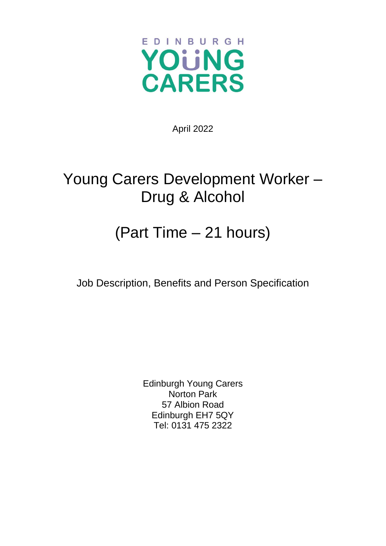

April 2022

## Young Carers Development Worker – Drug & Alcohol

## (Part Time – 21 hours)

Job Description, Benefits and Person Specification

Edinburgh Young Carers Norton Park 57 Albion Road Edinburgh EH7 5QY Tel: 0131 475 2322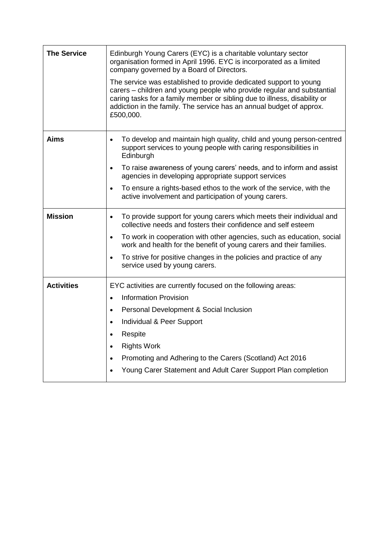| <b>The Service</b> | Edinburgh Young Carers (EYC) is a charitable voluntary sector<br>organisation formed in April 1996. EYC is incorporated as a limited<br>company governed by a Board of Directors.<br>The service was established to provide dedicated support to young<br>carers - children and young people who provide regular and substantial<br>caring tasks for a family member or sibling due to illness, disability or<br>addiction in the family. The service has an annual budget of approx.<br>£500,000. |  |  |
|--------------------|----------------------------------------------------------------------------------------------------------------------------------------------------------------------------------------------------------------------------------------------------------------------------------------------------------------------------------------------------------------------------------------------------------------------------------------------------------------------------------------------------|--|--|
| Aims               | To develop and maintain high quality, child and young person-centred<br>$\bullet$<br>support services to young people with caring responsibilities in<br>Edinburgh<br>To raise awareness of young carers' needs, and to inform and assist<br>$\bullet$<br>agencies in developing appropriate support services<br>To ensure a rights-based ethos to the work of the service, with the<br>$\bullet$<br>active involvement and participation of young carers.                                         |  |  |
| <b>Mission</b>     | To provide support for young carers which meets their individual and<br>$\bullet$<br>collective needs and fosters their confidence and self esteem<br>To work in cooperation with other agencies, such as education, social<br>$\bullet$<br>work and health for the benefit of young carers and their families.<br>To strive for positive changes in the policies and practice of any<br>$\bullet$<br>service used by young carers.                                                                |  |  |
| <b>Activities</b>  | EYC activities are currently focused on the following areas:<br><b>Information Provision</b><br>$\bullet$<br>Personal Development & Social Inclusion<br>$\bullet$<br>Individual & Peer Support<br>$\bullet$<br>Respite<br>$\bullet$<br><b>Rights Work</b><br>$\bullet$<br>Promoting and Adhering to the Carers (Scotland) Act 2016<br>$\bullet$<br>Young Carer Statement and Adult Carer Support Plan completion                                                                                   |  |  |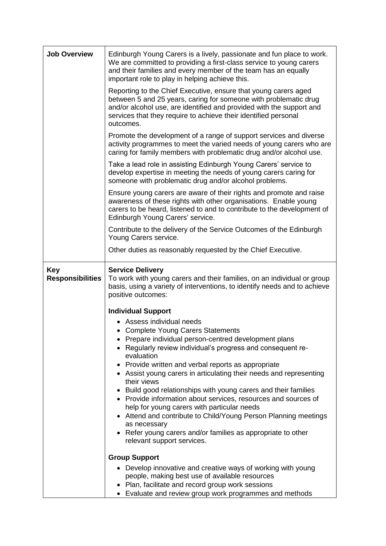| <b>Job Overview</b>                   | Edinburgh Young Carers is a lively, passionate and fun place to work.<br>We are committed to providing a first-class service to young carers<br>and their families and every member of the team has an equally<br>important role to play in helping achieve this.                           |  |  |  |  |
|---------------------------------------|---------------------------------------------------------------------------------------------------------------------------------------------------------------------------------------------------------------------------------------------------------------------------------------------|--|--|--|--|
|                                       | Reporting to the Chief Executive, ensure that young carers aged<br>between 5 and 25 years, caring for someone with problematic drug<br>and/or alcohol use, are identified and provided with the support and<br>services that they require to achieve their identified personal<br>outcomes. |  |  |  |  |
|                                       | Promote the development of a range of support services and diverse<br>activity programmes to meet the varied needs of young carers who are<br>caring for family members with problematic drug and/or alcohol use.                                                                           |  |  |  |  |
|                                       | Take a lead role in assisting Edinburgh Young Carers' service to<br>develop expertise in meeting the needs of young carers caring for<br>someone with problematic drug and/or alcohol problems.                                                                                             |  |  |  |  |
|                                       | Ensure young carers are aware of their rights and promote and raise<br>awareness of these rights with other organisations. Enable young<br>carers to be heard, listened to and to contribute to the development of<br>Edinburgh Young Carers' service.                                      |  |  |  |  |
|                                       | Contribute to the delivery of the Service Outcomes of the Edinburgh<br>Young Carers service.                                                                                                                                                                                                |  |  |  |  |
|                                       | Other duties as reasonably requested by the Chief Executive.                                                                                                                                                                                                                                |  |  |  |  |
| <b>Key</b><br><b>Responsibilities</b> | <b>Service Delivery</b><br>To work with young carers and their families, on an individual or group<br>basis, using a variety of interventions, to identify needs and to achieve<br>positive outcomes:                                                                                       |  |  |  |  |
|                                       | <b>Individual Support</b>                                                                                                                                                                                                                                                                   |  |  |  |  |
|                                       | • Assess individual needs<br>• Complete Young Carers Statements                                                                                                                                                                                                                             |  |  |  |  |
|                                       | Prepare individual person-centred development plans                                                                                                                                                                                                                                         |  |  |  |  |
|                                       | Regularly review individual's progress and consequent re-<br>evaluation                                                                                                                                                                                                                     |  |  |  |  |
|                                       | • Provide written and verbal reports as appropriate<br>• Assist young carers in articulating their needs and representing<br>their views                                                                                                                                                    |  |  |  |  |
|                                       | Build good relationships with young carers and their families<br>• Provide information about services, resources and sources of<br>help for young carers with particular needs<br>• Attend and contribute to Child/Young Person Planning meetings                                           |  |  |  |  |
|                                       | as necessary<br>Refer young carers and/or families as appropriate to other<br>relevant support services.                                                                                                                                                                                    |  |  |  |  |
|                                       | <b>Group Support</b>                                                                                                                                                                                                                                                                        |  |  |  |  |
|                                       | • Develop innovative and creative ways of working with young<br>people, making best use of available resources<br>Plan, facilitate and record group work sessions<br>Evaluate and review group work programmes and methods                                                                  |  |  |  |  |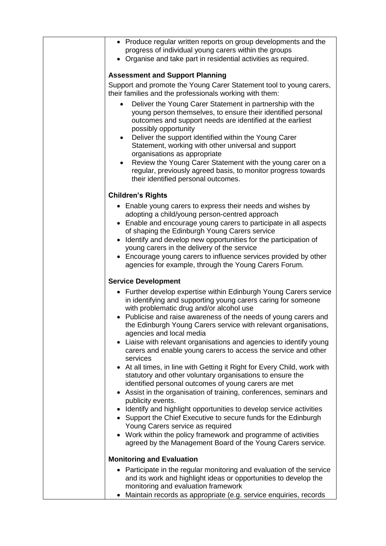| • Produce regular written reports on group developments and the<br>progress of individual young carers within the groups<br>• Organise and take part in residential activities as required.                                                                                                                                                                                                                                                                                                    |
|------------------------------------------------------------------------------------------------------------------------------------------------------------------------------------------------------------------------------------------------------------------------------------------------------------------------------------------------------------------------------------------------------------------------------------------------------------------------------------------------|
| <b>Assessment and Support Planning</b>                                                                                                                                                                                                                                                                                                                                                                                                                                                         |
| Support and promote the Young Carer Statement tool to young carers,<br>their families and the professionals working with them:                                                                                                                                                                                                                                                                                                                                                                 |
| Deliver the Young Carer Statement in partnership with the<br>young person themselves, to ensure their identified personal<br>outcomes and support needs are identified at the earliest<br>possibly opportunity                                                                                                                                                                                                                                                                                 |
| Deliver the support identified within the Young Carer<br>$\bullet$<br>Statement, working with other universal and support<br>organisations as appropriate                                                                                                                                                                                                                                                                                                                                      |
| Review the Young Carer Statement with the young carer on a<br>$\bullet$<br>regular, previously agreed basis, to monitor progress towards<br>their identified personal outcomes.                                                                                                                                                                                                                                                                                                                |
| <b>Children's Rights</b>                                                                                                                                                                                                                                                                                                                                                                                                                                                                       |
| • Enable young carers to express their needs and wishes by<br>adopting a child/young person-centred approach<br>• Enable and encourage young carers to participate in all aspects<br>of shaping the Edinburgh Young Carers service<br>Identify and develop new opportunities for the participation of<br>$\bullet$<br>young carers in the delivery of the service<br>• Encourage young carers to influence services provided by other<br>agencies for example, through the Young Carers Forum. |
| <b>Service Development</b>                                                                                                                                                                                                                                                                                                                                                                                                                                                                     |
| • Further develop expertise within Edinburgh Young Carers service<br>in identifying and supporting young carers caring for someone<br>with problematic drug and/or alcohol use                                                                                                                                                                                                                                                                                                                 |
| Publicise and raise awareness of the needs of young carers and<br>the Edinburgh Young Carers service with relevant organisations<br>agencies and local media                                                                                                                                                                                                                                                                                                                                   |
| • Liaise with relevant organisations and agencies to identify young<br>carers and enable young carers to access the service and other<br>services                                                                                                                                                                                                                                                                                                                                              |
| • At all times, in line with Getting it Right for Every Child, work with<br>statutory and other voluntary organisations to ensure the<br>identified personal outcomes of young carers are met                                                                                                                                                                                                                                                                                                  |
| • Assist in the organisation of training, conferences, seminars and<br>publicity events.                                                                                                                                                                                                                                                                                                                                                                                                       |
| • Identify and highlight opportunities to develop service activities<br>• Support the Chief Executive to secure funds for the Edinburgh<br>Young Carers service as required                                                                                                                                                                                                                                                                                                                    |
| • Work within the policy framework and programme of activities<br>agreed by the Management Board of the Young Carers service.                                                                                                                                                                                                                                                                                                                                                                  |
| <b>Monitoring and Evaluation</b>                                                                                                                                                                                                                                                                                                                                                                                                                                                               |
| Participate in the regular monitoring and evaluation of the service<br>٠<br>and its work and highlight ideas or opportunities to develop the<br>monitoring and evaluation framework                                                                                                                                                                                                                                                                                                            |
| Maintain records as appropriate (e.g. service enquiries, records                                                                                                                                                                                                                                                                                                                                                                                                                               |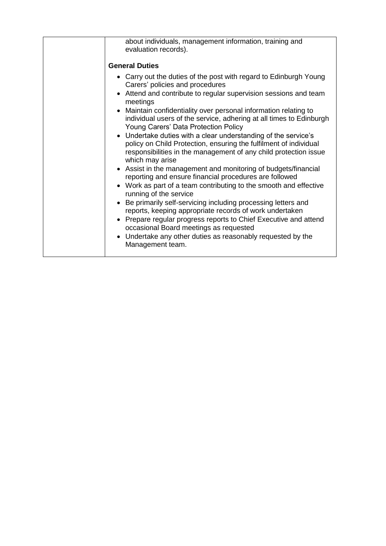| about individuals, management information, training and<br>evaluation records).<br><b>General Duties</b><br>• Carry out the duties of the post with regard to Edinburgh Young<br>Carers' policies and procedures<br>• Attend and contribute to regular supervision sessions and team<br>meetings<br>• Maintain confidentiality over personal information relating to<br>individual users of the service, adhering at all times to Edinburgh<br>Young Carers' Data Protection Policy<br>• Undertake duties with a clear understanding of the service's<br>policy on Child Protection, ensuring the fulfilment of individual<br>responsibilities in the management of any child protection issue<br>which may arise<br>• Assist in the management and monitoring of budgets/financial<br>reporting and ensure financial procedures are followed<br>• Work as part of a team contributing to the smooth and effective<br>running of the service<br>• Be primarily self-servicing including processing letters and<br>reports, keeping appropriate records of work undertaken |
|---------------------------------------------------------------------------------------------------------------------------------------------------------------------------------------------------------------------------------------------------------------------------------------------------------------------------------------------------------------------------------------------------------------------------------------------------------------------------------------------------------------------------------------------------------------------------------------------------------------------------------------------------------------------------------------------------------------------------------------------------------------------------------------------------------------------------------------------------------------------------------------------------------------------------------------------------------------------------------------------------------------------------------------------------------------------------|
|                                                                                                                                                                                                                                                                                                                                                                                                                                                                                                                                                                                                                                                                                                                                                                                                                                                                                                                                                                                                                                                                           |
|                                                                                                                                                                                                                                                                                                                                                                                                                                                                                                                                                                                                                                                                                                                                                                                                                                                                                                                                                                                                                                                                           |
|                                                                                                                                                                                                                                                                                                                                                                                                                                                                                                                                                                                                                                                                                                                                                                                                                                                                                                                                                                                                                                                                           |
|                                                                                                                                                                                                                                                                                                                                                                                                                                                                                                                                                                                                                                                                                                                                                                                                                                                                                                                                                                                                                                                                           |
|                                                                                                                                                                                                                                                                                                                                                                                                                                                                                                                                                                                                                                                                                                                                                                                                                                                                                                                                                                                                                                                                           |
|                                                                                                                                                                                                                                                                                                                                                                                                                                                                                                                                                                                                                                                                                                                                                                                                                                                                                                                                                                                                                                                                           |
|                                                                                                                                                                                                                                                                                                                                                                                                                                                                                                                                                                                                                                                                                                                                                                                                                                                                                                                                                                                                                                                                           |
|                                                                                                                                                                                                                                                                                                                                                                                                                                                                                                                                                                                                                                                                                                                                                                                                                                                                                                                                                                                                                                                                           |
|                                                                                                                                                                                                                                                                                                                                                                                                                                                                                                                                                                                                                                                                                                                                                                                                                                                                                                                                                                                                                                                                           |
| • Prepare regular progress reports to Chief Executive and attend<br>occasional Board meetings as requested                                                                                                                                                                                                                                                                                                                                                                                                                                                                                                                                                                                                                                                                                                                                                                                                                                                                                                                                                                |
| • Undertake any other duties as reasonably requested by the<br>Management team.                                                                                                                                                                                                                                                                                                                                                                                                                                                                                                                                                                                                                                                                                                                                                                                                                                                                                                                                                                                           |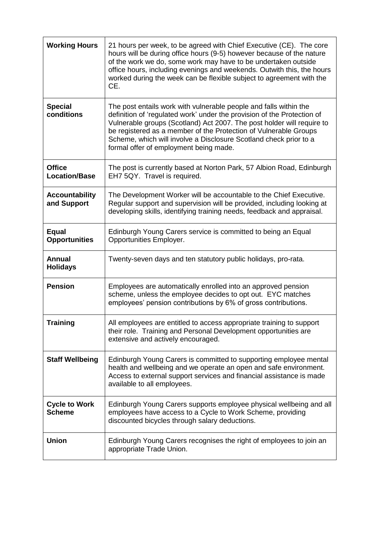| <b>Working Hours</b>                  | 21 hours per week, to be agreed with Chief Executive (CE). The core<br>hours will be during office hours (9-5) however because of the nature<br>of the work we do, some work may have to be undertaken outside<br>office hours, including evenings and weekends. Outwith this, the hours<br>worked during the week can be flexible subject to agreement with the<br>CE.                                   |
|---------------------------------------|-----------------------------------------------------------------------------------------------------------------------------------------------------------------------------------------------------------------------------------------------------------------------------------------------------------------------------------------------------------------------------------------------------------|
| <b>Special</b><br>conditions          | The post entails work with vulnerable people and falls within the<br>definition of 'regulated work' under the provision of the Protection of<br>Vulnerable groups (Scotland) Act 2007. The post holder will require to<br>be registered as a member of the Protection of Vulnerable Groups<br>Scheme, which will involve a Disclosure Scotland check prior to a<br>formal offer of employment being made. |
| <b>Office</b><br><b>Location/Base</b> | The post is currently based at Norton Park, 57 Albion Road, Edinburgh<br>EH7 5QY. Travel is required.                                                                                                                                                                                                                                                                                                     |
| <b>Accountability</b><br>and Support  | The Development Worker will be accountable to the Chief Executive.<br>Regular support and supervision will be provided, including looking at<br>developing skills, identifying training needs, feedback and appraisal.                                                                                                                                                                                    |
| <b>Equal</b><br><b>Opportunities</b>  | Edinburgh Young Carers service is committed to being an Equal<br>Opportunities Employer.                                                                                                                                                                                                                                                                                                                  |
| <b>Annual</b><br><b>Holidays</b>      | Twenty-seven days and ten statutory public holidays, pro-rata.                                                                                                                                                                                                                                                                                                                                            |
| <b>Pension</b>                        | Employees are automatically enrolled into an approved pension<br>scheme, unless the employee decides to opt out. EYC matches<br>employees' pension contributions by 6% of gross contributions.                                                                                                                                                                                                            |
| <b>Training</b>                       | All employees are entitled to access appropriate training to support<br>their role. Training and Personal Development opportunities are<br>extensive and actively encouraged.                                                                                                                                                                                                                             |
| <b>Staff Wellbeing</b>                | Edinburgh Young Carers is committed to supporting employee mental<br>health and wellbeing and we operate an open and safe environment.<br>Access to external support services and financial assistance is made<br>available to all employees.                                                                                                                                                             |
| <b>Cycle to Work</b><br><b>Scheme</b> | Edinburgh Young Carers supports employee physical wellbeing and all<br>employees have access to a Cycle to Work Scheme, providing<br>discounted bicycles through salary deductions.                                                                                                                                                                                                                       |
| <b>Union</b>                          | Edinburgh Young Carers recognises the right of employees to join an<br>appropriate Trade Union.                                                                                                                                                                                                                                                                                                           |